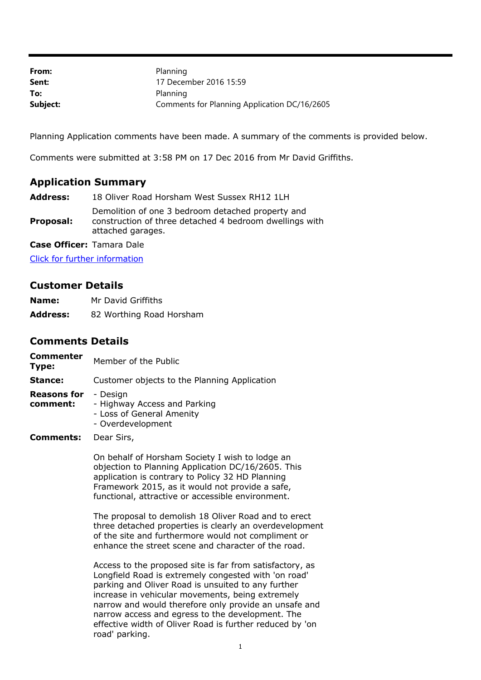| From:    | Planning                                     |
|----------|----------------------------------------------|
| Sent:    | 17 December 2016 15:59                       |
| To:      | Planning                                     |
| Subject: | Comments for Planning Application DC/16/2605 |

Planning Application comments have been made. A summary of the comments is provided below.

Comments were submitted at 3:58 PM on 17 Dec 2016 from Mr David Griffiths.

## **Application Summary**

**Address:** 18 Oliver Road Horsham West Sussex RH12 1LH

**Proposal:** Demolition of one 3 bedroom detached property and construction of three detached 4 bedroom dwellings with attached garages.

**Case Officer:** Tamara Dale

[Click for further information](https://public-access.horsham.gov.uk/public-access//centralDistribution.do?caseType=Application&keyVal=OGQ92MIJMSY00)

## **Customer Details**

| Name:           | Mr David Griffiths       |
|-----------------|--------------------------|
| <b>Address:</b> | 82 Worthing Road Horsham |

## **Comments Details**

| <b>Commenter</b><br>Type: | Member of the Public                                                                       |
|---------------------------|--------------------------------------------------------------------------------------------|
| Stance:                   | Customer objects to the Planning Application                                               |
| Reasons for<br>comment:   | - Design<br>- Highway Access and Parking<br>- Loss of General Amenity<br>- Overdevelopment |
| Comments:                 | Dear Sirs,                                                                                 |
|                           | On behalf of Horsham Society I wish to lodge                                               |

On behalf of Horsham Society I wish to lodge an objection to Planning Application DC/16/2605. This application is contrary to Policy 32 HD Planning Framework 2015, as it would not provide a safe, functional, attractive or accessible environment.

The proposal to demolish 18 Oliver Road and to erect three detached properties is clearly an overdevelopment of the site and furthermore would not compliment or enhance the street scene and character of the road.

Access to the proposed site is far from satisfactory, as Longfield Road is extremely congested with 'on road' parking and Oliver Road is unsuited to any further increase in vehicular movements, being extremely narrow and would therefore only provide an unsafe and narrow access and egress to the development. The effective width of Oliver Road is further reduced by 'on road' parking.